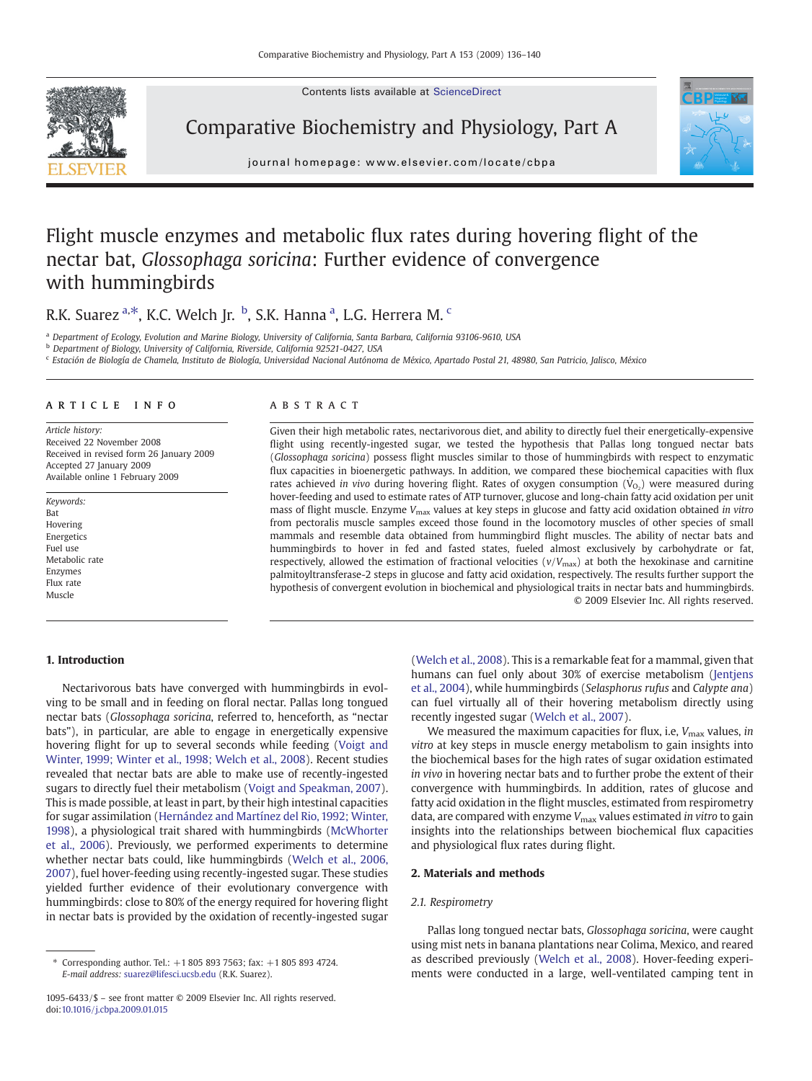Contents lists available at ScienceDirect

<span id="page-0-0"></span>

Comparative Biochemistry and Physiology, Part A



journal homepage: www.elsevier.com/locate/cbpa

# Flight muscle enzymes and metabolic flux rates during hovering flight of the nectar bat, Glossophaga soricina: Further evidence of convergence with hummingbirds

R.K. Suarez <sup>a,\*</sup>, K.C. Welch Jr. <sup>b</sup>, S.K. Hanna <sup>a</sup>, L.G. Herrera M. <sup>c</sup>

a Department of Ecology, Evolution and Marine Biology, University of California, Santa Barbara, California 93106-9610, USA

b Department of Biology, University of California, Riverside, California 92521-0427, USA

<sup>c</sup> Estación de Biología de Chamela, Instituto de Biología, Universidad Nacional Autónoma de México, Apartado Postal 21, 48980, San Patricio, Jalisco, México

# article info abstract

Article history: Received 22 November 2008 Received in revised form 26 January 2009 Accepted 27 January 2009 Available online 1 February 2009

Keywords: Bat Hovering Energetics Fuel use Metabolic rate Enzymes Flux rate Muscle

Given their high metabolic rates, nectarivorous diet, and ability to directly fuel their energetically-expensive flight using recently-ingested sugar, we tested the hypothesis that Pallas long tongued nectar bats (Glossophaga soricina) possess flight muscles similar to those of hummingbirds with respect to enzymatic flux capacities in bioenergetic pathways. In addition, we compared these biochemical capacities with flux rates achieved in vivo during hovering flight. Rates of oxygen consumption  $(\dot{V}_{O_2})$  were measured during hover-feeding and used to estimate rates of ATP turnover, glucose and long-chain fatty acid oxidation per unit mass of flight muscle. Enzyme V<sub>max</sub> values at key steps in glucose and fatty acid oxidation obtained in vitro from pectoralis muscle samples exceed those found in the locomotory muscles of other species of small mammals and resemble data obtained from hummingbird flight muscles. The ability of nectar bats and hummingbirds to hover in fed and fasted states, fueled almost exclusively by carbohydrate or fat, respectively, allowed the estimation of fractional velocities ( $v/V_{\text{max}}$ ) at both the hexokinase and carnitine palmitoyltransferase-2 steps in glucose and fatty acid oxidation, respectively. The results further support the hypothesis of convergent evolution in biochemical and physiological traits in nectar bats and hummingbirds. © 2009 Elsevier Inc. All rights reserved.

# 1. Introduction

Nectarivorous bats have converged with hummingbirds in evolving to be small and in feeding on floral nectar. Pallas long tongued nectar bats (Glossophaga soricina, referred to, henceforth, as "nectar bats"), in particular, are able to engage in energetically expensive hovering flight for up to several seconds while feeding ([Voigt and](#page-4-0) [Winter, 1999; Winter et al., 1998; Welch et al., 2008](#page-4-0)). Recent studies revealed that nectar bats are able to make use of recently-ingested sugars to directly fuel their metabolism [\(Voigt and Speakman, 2007](#page-4-0)). This is made possible, at least in part, by their high intestinal capacities for sugar assimilation [\(Hernández and Martínez del Rio, 1992; Winter,](#page-4-0) [1998](#page-4-0)), a physiological trait shared with hummingbirds ([McWhorter](#page-4-0) [et al., 2006](#page-4-0)). Previously, we performed experiments to determine whether nectar bats could, like hummingbirds [\(Welch et al., 2006,](#page-4-0) [2007](#page-4-0)), fuel hover-feeding using recently-ingested sugar. These studies yielded further evidence of their evolutionary convergence with hummingbirds: close to 80% of the energy required for hovering flight in nectar bats is provided by the oxidation of recently-ingested sugar

[\(Welch et al., 2008\)](#page-4-0). This is a remarkable feat for a mammal, given that humans can fuel only about 30% of exercise metabolism ([Jentjens](#page-4-0) [et al., 2004](#page-4-0)), while hummingbirds (Selasphorus rufus and Calypte ana) can fuel virtually all of their hovering metabolism directly using recently ingested sugar [\(Welch et al., 2007\)](#page-4-0).

We measured the maximum capacities for flux, i.e,  $V_{\text{max}}$  values, in vitro at key steps in muscle energy metabolism to gain insights into the biochemical bases for the high rates of sugar oxidation estimated in vivo in hovering nectar bats and to further probe the extent of their convergence with hummingbirds. In addition, rates of glucose and fatty acid oxidation in the flight muscles, estimated from respirometry data, are compared with enzyme  $V_{\text{max}}$  values estimated in vitro to gain insights into the relationships between biochemical flux capacities and physiological flux rates during flight.

# 2. Materials and methods

# 2.1. Respirometry

Pallas long tongued nectar bats, Glossophaga soricina, were caught using mist nets in banana plantations near Colima, Mexico, and reared as described previously [\(Welch et al., 2008](#page-4-0)). Hover-feeding experiments were conducted in a large, well-ventilated camping tent in

<sup>⁎</sup> Corresponding author. Tel.: +1 805 893 7563; fax: +1 805 893 4724. E-mail address: [suarez@lifesci.ucsb.edu](mailto:suarez@lifesci.ucsb.edu) (R.K. Suarez).

<sup>1095-6433/\$</sup> – see front matter © 2009 Elsevier Inc. All rights reserved. doi[:10.1016/j.cbpa.2009.01.015](http://dx.doi.org/10.1016/j.cbpa.2009.01.015)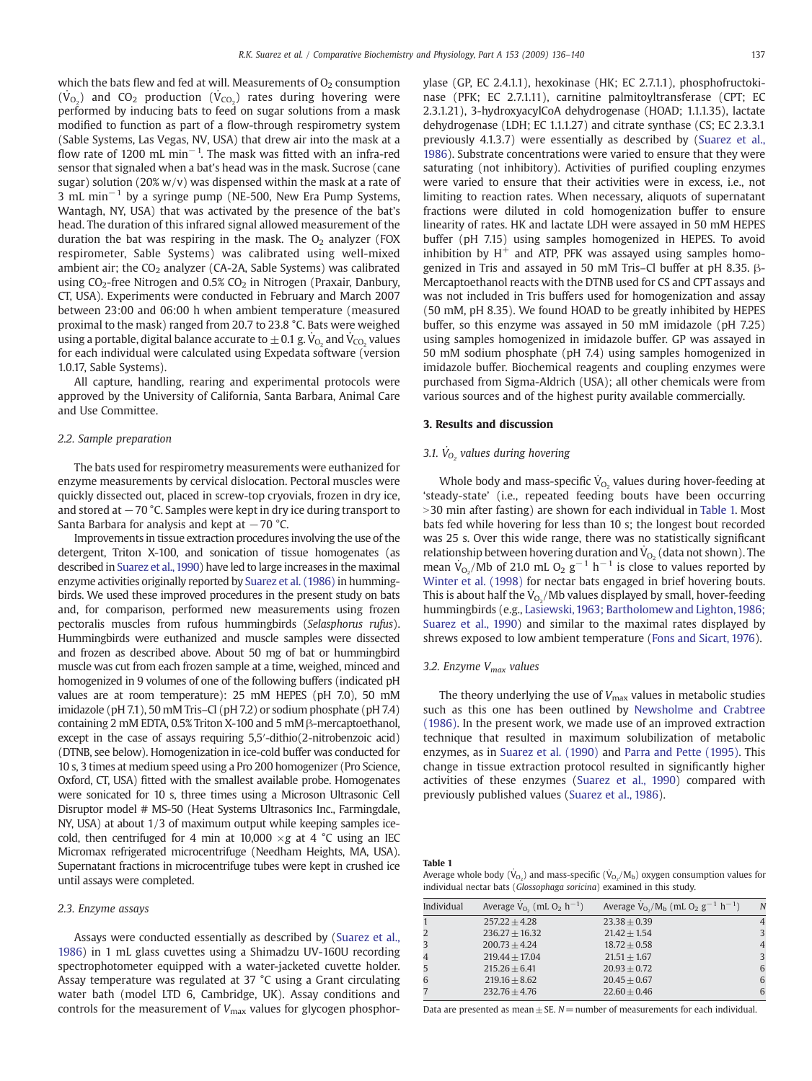<span id="page-1-0"></span>which the bats flew and fed at will. Measurements of  $O<sub>2</sub>$  consumption  $(\dot{V}_{O_2})$  and CO<sub>2</sub> production  $(\dot{V}_{CO_2})$  rates during hovering were performed by inducing bats to feed on sugar solutions from a mask modified to function as part of a flow-through respirometry system (Sable Systems, Las Vegas, NV, USA) that drew air into the mask at a flow rate of 1200 mL min<sup>-1</sup>. The mask was fitted with an infra-red sensor that signaled when a bat's head was in the mask. Sucrose (cane sugar) solution (20%  $w/v$ ) was dispensed within the mask at a rate of 3 mL min−<sup>1</sup> by a syringe pump (NE-500, New Era Pump Systems, Wantagh, NY, USA) that was activated by the presence of the bat's head. The duration of this infrared signal allowed measurement of the duration the bat was respiring in the mask. The  $O<sub>2</sub>$  analyzer (FOX respirometer, Sable Systems) was calibrated using well-mixed ambient air; the  $CO<sub>2</sub>$  analyzer (CA-2A, Sable Systems) was calibrated using  $CO_2$ -free Nitrogen and 0.5%  $CO_2$  in Nitrogen (Praxair, Danbury, CT, USA). Experiments were conducted in February and March 2007 between 23:00 and 06:00 h when ambient temperature (measured proximal to the mask) ranged from 20.7 to 23.8 °C. Bats were weighed using a portable, digital balance accurate to  $\pm$  0.1 g.  $\dot{\mathsf{V}}_{\mathrm{O}_2}$  and  $\dot{\mathsf{V}}_{\mathrm{CO}_2}$  values for each individual were calculated using Expedata software (version 1.0.17, Sable Systems).

All capture, handling, rearing and experimental protocols were approved by the University of California, Santa Barbara, Animal Care and Use Committee.

# 2.2. Sample preparation

The bats used for respirometry measurements were euthanized for enzyme measurements by cervical dislocation. Pectoral muscles were quickly dissected out, placed in screw-top cryovials, frozen in dry ice, and stored at −70 °C. Samples were kept in dry ice during transport to Santa Barbara for analysis and kept at  $-70$  °C.

Improvements in tissue extraction procedures involving the use of the detergent, Triton X-100, and sonication of tissue homogenates (as described in [Suarez et al.,1990](#page-4-0)) have led to large increases in the maximal enzyme activities originally reported by [Suarez et al. \(1986\)](#page-4-0) in hummingbirds. We used these improved procedures in the present study on bats and, for comparison, performed new measurements using frozen pectoralis muscles from rufous hummingbirds (Selasphorus rufus). Hummingbirds were euthanized and muscle samples were dissected and frozen as described above. About 50 mg of bat or hummingbird muscle was cut from each frozen sample at a time, weighed, minced and homogenized in 9 volumes of one of the following buffers (indicated pH values are at room temperature): 25 mM HEPES (pH 7.0), 50 mM imidazole (pH 7.1), 50 mM Tris–Cl (pH 7.2) or sodium phosphate (pH 7.4) containing 2 mM EDTA, 0.5% Triton X-100 and 5 mM β-mercaptoethanol, except in the case of assays requiring 5,5′-dithio(2-nitrobenzoic acid) (DTNB, see below). Homogenization in ice-cold buffer was conducted for 10 s, 3 times at medium speed using a Pro 200 homogenizer (Pro Science, Oxford, CT, USA) fitted with the smallest available probe. Homogenates were sonicated for 10 s, three times using a Microson Ultrasonic Cell Disruptor model # MS-50 (Heat Systems Ultrasonics Inc., Farmingdale, NY, USA) at about 1/3 of maximum output while keeping samples icecold, then centrifuged for 4 min at 10,000  $\times$ g at 4 °C using an IEC Micromax refrigerated microcentrifuge (Needham Heights, MA, USA). Supernatant fractions in microcentrifuge tubes were kept in crushed ice until assays were completed.

# 2.3. Enzyme assays

Assays were conducted essentially as described by ([Suarez et al.,](#page-4-0) [1986](#page-4-0)) in 1 mL glass cuvettes using a Shimadzu UV-160U recording spectrophotometer equipped with a water-jacketed cuvette holder. Assay temperature was regulated at 37 °C using a Grant circulating water bath (model LTD 6, Cambridge, UK). Assay conditions and controls for the measurement of  $V_{\text{max}}$  values for glycogen phosphorylase (GP, EC 2.4.1.1), hexokinase (HK; EC 2.7.1.1), phosphofructokinase (PFK; EC 2.7.1.11), carnitine palmitoyltransferase (CPT; EC 2.3.1.21), 3-hydroxyacylCoA dehydrogenase (HOAD; 1.1.1.35), lactate dehydrogenase (LDH; EC 1.1.1.27) and citrate synthase (CS; EC 2.3.3.1 previously 4.1.3.7) were essentially as described by ([Suarez et al.,](#page-4-0) [1986](#page-4-0)). Substrate concentrations were varied to ensure that they were saturating (not inhibitory). Activities of purified coupling enzymes were varied to ensure that their activities were in excess, i.e., not limiting to reaction rates. When necessary, aliquots of supernatant fractions were diluted in cold homogenization buffer to ensure linearity of rates. HK and lactate LDH were assayed in 50 mM HEPES buffer (pH 7.15) using samples homogenized in HEPES. To avoid inhibition by  $H^+$  and ATP, PFK was assayed using samples homogenized in Tris and assayed in 50 mM Tris–Cl buffer at pH 8.35. β-Mercaptoethanol reacts with the DTNB used for CS and CPT assays and was not included in Tris buffers used for homogenization and assay (50 mM, pH 8.35). We found HOAD to be greatly inhibited by HEPES buffer, so this enzyme was assayed in 50 mM imidazole (pH 7.25) using samples homogenized in imidazole buffer. GP was assayed in 50 mM sodium phosphate (pH 7.4) using samples homogenized in imidazole buffer. Biochemical reagents and coupling enzymes were purchased from Sigma-Aldrich (USA); all other chemicals were from various sources and of the highest purity available commercially.

# 3. Results and discussion

# 3.1.  $\dot{V}_{O_2}$  values during hovering

Whole body and mass-specific  $\dot{\mathsf{V}}_{\text{O}_2}$  values during hover-feeding at 'steady-state' (i.e., repeated feeding bouts have been occurring > 30 min after fasting) are shown for each individual in Table 1. Most bats fed while hovering for less than 10 s; the longest bout recorded was 25 s. Over this wide range, there was no statistically significant relationship between hovering duration and  $\dot{\mathsf{V}}_{\mathrm{O}_2}$  (data not shown). The mean  $\dot{V}_{O_2}/Mb$  of 21.0 mL  $O_2$  g<sup>-1</sup> h<sup>-1</sup> is close to values reported by [Winter et al. \(1998\)](#page-4-0) for nectar bats engaged in brief hovering bouts. This is about half the  $\dot{\mathsf{V}}_{\mathsf{O}_2}/\mathsf{Mb}$  values displayed by small, hover-feeding hummingbirds (e.g., [Lasiewski, 1963; Bartholomew and Lighton, 1986;](#page-4-0) [Suarez et al., 1990](#page-4-0)) and similar to the maximal rates displayed by shrews exposed to low ambient temperature [\(Fons and Sicart, 1976\)](#page-4-0).

# 3.2. Enzyme V<sub>max</sub> values

The theory underlying the use of  $V_{\text{max}}$  values in metabolic studies such as this one has been outlined by [Newsholme and Crabtree](#page-4-0) [\(1986\)](#page-4-0). In the present work, we made use of an improved extraction technique that resulted in maximum solubilization of metabolic enzymes, as in [Suarez et al. \(1990\)](#page-4-0) and [Parra and Pette \(1995\)](#page-4-0). This change in tissue extraction protocol resulted in significantly higher activities of these enzymes ([Suarez et al., 1990\)](#page-4-0) compared with previously published values ([Suarez et al., 1986](#page-4-0)).

Table 1

Average whole body  $(\dot{\text{V}}_{\text{O}_2})$  and mass-specific  $(\dot{\text{V}}_{\text{O}_2}/\text{M}_\text{b})$  oxygen consumption values for individual nectar bats (Glossophaga soricina) examined in this study.

| Individual | Average $V_{O_2}$ (mL $O_2$ h <sup>-1</sup> ) | Average $V_{O_2}/M_b$ (mL O <sub>2</sub> g <sup>-1</sup> h <sup>-1</sup> ) | N |
|------------|-----------------------------------------------|----------------------------------------------------------------------------|---|
|            | $257.22 + 4.28$                               | $23.38 + 0.39$                                                             | 4 |
|            | $236.27 + 16.32$                              | $21.42 + 1.54$                                                             | 3 |
|            | $200.73 + 4.24$                               | $18.72 + 0.58$                                                             | 4 |
|            | $219.44 + 17.04$                              | $21.51 + 1.67$                                                             | 3 |
|            | $215.26 + 6.41$                               | $20.93 + 0.72$                                                             | 6 |
|            | $219.16 + 8.62$                               | $20.45 + 0.67$                                                             | 6 |
|            | $232.76 + 4.76$                               | $22.60 + 0.46$                                                             | 6 |

Data are presented as mean  $\pm$  SE. N = number of measurements for each individual.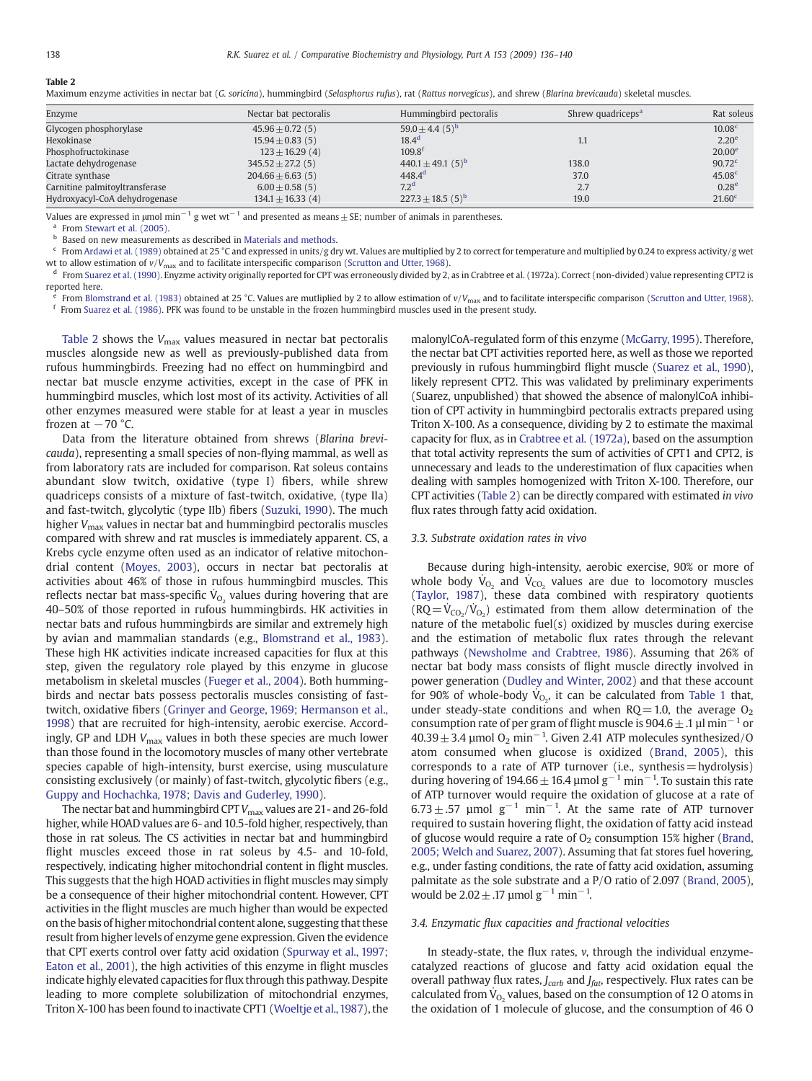# <span id="page-2-0"></span>Table 2

Maximum enzyme activities in nectar bat (G. soricina), hummingbird (Selasphorus rufus), rat (Rattus norvegicus), and shrew (Blarina brevicauda) skeletal muscles.

| Enzyme                         | Nectar bat pectoralis | Hummingbird pectoralis            | Shrew quadriceps <sup>a</sup> | Rat soleus         |
|--------------------------------|-----------------------|-----------------------------------|-------------------------------|--------------------|
| Glycogen phosphorylase         | $45.96 \pm 0.72(5)$   | $59.0 \pm 4.4$ (5) <sup>b</sup>   |                               | 10.08 <sup>c</sup> |
| Hexokinase                     | $15.94 \pm 0.83$ (5)  | 18.4 <sup>d</sup>                 |                               | 2.20 <sup>e</sup>  |
| Phosphofructokinase            | $123 \pm 16.29$ (4)   | $109.8^{t}$                       |                               | 20.00 <sup>e</sup> |
| Lactate dehydrogenase          | $345.52 \pm 27.2(5)$  | $440.1 \pm 49.1$ (5) <sup>b</sup> | 138.0                         | 90.72 <sup>c</sup> |
| Citrate synthase               | $204.66 \pm 6.63(5)$  | $448.4^d$                         | 37.0                          | 45.08 <sup>c</sup> |
| Carnitine palmitoyltransferase | $6.00 \pm 0.58$ (5)   | 7.2 <sup>d</sup>                  | 2.7                           | 0.28 <sup>e</sup>  |
| Hydroxyacyl-CoA dehydrogenase  | $134.1 \pm 16.33(4)$  | $227.3 \pm 18.5$ (5) <sup>b</sup> | 19.0                          | 21.60 <sup>c</sup> |

Values are expressed in  $\mu$ mol min<sup>-1</sup> g wet wt<sup>-1</sup> and presented as means  $\pm$  SE; number of animals in parentheses.

<sup>a</sup> From [Stewart et al. \(2005\)](#page-4-0).

**b** Based on new measurements as described in [Materials and methods](#page-0-0).

 $c$  From [Ardawi et al. \(1989\)](#page-4-0) obtained at 25 °C and expressed in units/g dry wt. Values are multiplied by 2 to correct for temperature and multiplied by 0.24 to express activity/g wet

wt to allow estimation of  $v/V_{\text{max}}$  and to facilitate interspecific comparison [\(Scrutton and Utter, 1968\)](#page-4-0).<br><sup>d</sup> From [Suarez et al. \(1990\).](#page-4-0) Enyzme activity originally reported for CPT was erroneously divided by 2, as in Cr reported here.

<sup>e</sup> From [Blomstrand et al. \(1983\)](#page-4-0) obtained at 25 °C. Values are mutliplied by 2 to allow estimation of  $v/V_{\text{max}}$  and to facilitate interspecific comparison ([Scrutton and Utter, 1968\)](#page-4-0).<br><sup>f</sup> From [Suarez et al. \(1986\).](#page-4-0) PFK w

Table 2 shows the  $V_{\text{max}}$  values measured in nectar bat pectoralis muscles alongside new as well as previously-published data from rufous hummingbirds. Freezing had no effect on hummingbird and nectar bat muscle enzyme activities, except in the case of PFK in hummingbird muscles, which lost most of its activity. Activities of all other enzymes measured were stable for at least a year in muscles frozen at  $-70$  °C.

Data from the literature obtained from shrews (Blarina brevicauda), representing a small species of non-flying mammal, as well as from laboratory rats are included for comparison. Rat soleus contains abundant slow twitch, oxidative (type I) fibers, while shrew quadriceps consists of a mixture of fast-twitch, oxidative, (type IIa) and fast-twitch, glycolytic (type IIb) fibers ([Suzuki, 1990](#page-4-0)). The much higher  $V_{\text{max}}$  values in nectar bat and hummingbird pectoralis muscles compared with shrew and rat muscles is immediately apparent. CS, a Krebs cycle enzyme often used as an indicator of relative mitochondrial content [\(Moyes, 2003](#page-4-0)), occurs in nectar bat pectoralis at activities about 46% of those in rufous hummingbird muscles. This reflects nectar bat mass-specific  $\dot{\mathsf{V}}_{\text{O}_2}$  values during hovering that are 40–50% of those reported in rufous hummingbirds. HK activities in nectar bats and rufous hummingbirds are similar and extremely high by avian and mammalian standards (e.g., [Blomstrand et al., 1983](#page-4-0)). These high HK activities indicate increased capacities for flux at this step, given the regulatory role played by this enzyme in glucose metabolism in skeletal muscles ([Fueger et al., 2004\)](#page-4-0). Both hummingbirds and nectar bats possess pectoralis muscles consisting of fasttwitch, oxidative fibers [\(Grinyer and George, 1969; Hermanson et al.,](#page-4-0) [1998](#page-4-0)) that are recruited for high-intensity, aerobic exercise. Accordingly, GP and LDH  $V_{\text{max}}$  values in both these species are much lower than those found in the locomotory muscles of many other vertebrate species capable of high-intensity, burst exercise, using musculature consisting exclusively (or mainly) of fast-twitch, glycolytic fibers (e.g., [Guppy and Hochachka, 1978; Davis and Guderley, 1990\)](#page-4-0).

The nectar bat and hummingbird CPT  $V_{\text{max}}$  values are 21- and 26-fold higher, while HOAD values are 6- and 10.5-fold higher, respectively, than those in rat soleus. The CS activities in nectar bat and hummingbird flight muscles exceed those in rat soleus by 4.5- and 10-fold, respectively, indicating higher mitochondrial content in flight muscles. This suggests that the high HOAD activities in flight muscles may simply be a consequence of their higher mitochondrial content. However, CPT activities in the flight muscles are much higher than would be expected on the basis of higher mitochondrial content alone, suggesting that these result from higher levels of enzyme gene expression. Given the evidence that CPT exerts control over fatty acid oxidation ([Spurway et al., 1997;](#page-4-0) [Eaton et al., 2001\)](#page-4-0), the high activities of this enzyme in flight muscles indicate highly elevated capacities for flux through this pathway. Despite leading to more complete solubilization of mitochondrial enzymes, Triton X-100 has been found to inactivate CPT1 [\(Woeltje et al.,1987\)](#page-4-0), the malonylCoA-regulated form of this enzyme [\(McGarry, 1995\)](#page-4-0). Therefore, the nectar bat CPT activities reported here, as well as those we reported previously in rufous hummingbird flight muscle [\(Suarez et al., 1990\)](#page-4-0), likely represent CPT2. This was validated by preliminary experiments (Suarez, unpublished) that showed the absence of malonylCoA inhibition of CPT activity in hummingbird pectoralis extracts prepared using Triton X-100. As a consequence, dividing by 2 to estimate the maximal capacity for flux, as in [Crabtree et al. \(1972a\)](#page-4-0), based on the assumption that total activity represents the sum of activities of CPT1 and CPT2, is unnecessary and leads to the underestimation of flux capacities when dealing with samples homogenized with Triton X-100. Therefore, our CPT activities (Table 2) can be directly compared with estimated in vivo flux rates through fatty acid oxidation.

## 3.3. Substrate oxidation rates in vivo

Because during high-intensity, aerobic exercise, 90% or more of whole body  $\dot{V}_{O_2}$  and  $\dot{V}_{CO_2}$  values are due to locomotory muscles [\(Taylor, 1987\)](#page-4-0), these data combined with respiratory quotients  $(RQ = V_{CO_2}/V_{O_2})$  estimated from them allow determination of the nature of the metabolic fuel(s) oxidized by muscles during exercise and the estimation of metabolic flux rates through the relevant pathways ([Newsholme and Crabtree, 1986](#page-4-0)). Assuming that 26% of nectar bat body mass consists of flight muscle directly involved in power generation [\(Dudley and Winter, 2002\)](#page-4-0) and that these account for 90% of whole-body  $\dot{V}_{O_2}$ , it can be calculated from [Table 1](#page-1-0) that, under steady-state conditions and when  $RQ = 1.0$ , the average  $O<sub>2</sub>$ consumption rate of per gram of flight muscle is 904.6  $\pm$  .1 µl min<sup>-1</sup> or  $40.39 \pm 3.4$  μmol O<sub>2</sub> min<sup>-1</sup>. Given 2.41 ATP molecules synthesized/O atom consumed when glucose is oxidized [\(Brand, 2005](#page-4-0)), this corresponds to a rate of ATP turnover (i.e., synthesis=hydrolysis) during hovering of 194.66  $\pm$  16.4 µmol g<sup>-1</sup> min<sup>-1</sup>. To sustain this rate of ATP turnover would require the oxidation of glucose at a rate of  $6.73 \pm .57$  µmol g<sup>-1</sup> min<sup>-1</sup>. At the same rate of ATP turnover required to sustain hovering flight, the oxidation of fatty acid instead of glucose would require a rate of  $O<sub>2</sub>$  consumption 15% higher [\(Brand,](#page-4-0) [2005; Welch and Suarez, 2007\)](#page-4-0). Assuming that fat stores fuel hovering, e.g., under fasting conditions, the rate of fatty acid oxidation, assuming palmitate as the sole substrate and a P/O ratio of 2.097 [\(Brand, 2005\)](#page-4-0), would be  $2.02 \pm .17$  µmol g<sup>-1</sup> min<sup>-1</sup>.

# 3.4. Enzymatic flux capacities and fractional velocities

In steady-state, the flux rates, v, through the individual enzymecatalyzed reactions of glucose and fatty acid oxidation equal the overall pathway flux rates,  $J_{\text{carb}}$  and  $J_{\text{fat}}$ , respectively. Flux rates can be calculated from  $\dot{V}_{O_2}$  values, based on the consumption of 12 O atoms in the oxidation of 1 molecule of glucose, and the consumption of 46 O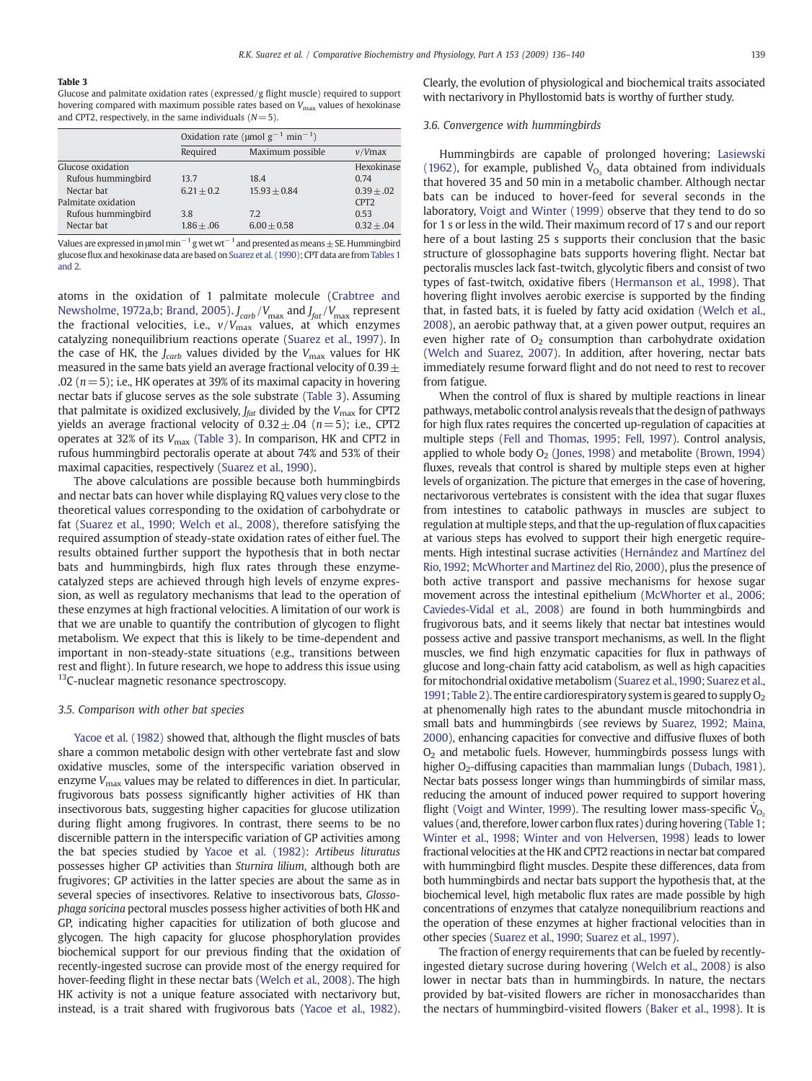# Table 3

Glucose and palmitate oxidation rates (expressed/g flight muscle) required to support hovering compared with maximum possible rates based on  $V_{\text{max}}$  values of hexokinase and CPT2, respectively, in the same individuals ( $N= 5$ ).

|                     | Oxidation rate (umol $g^{-1}$ min <sup>-1</sup> ) |                  |                  |  |
|---------------------|---------------------------------------------------|------------------|------------------|--|
|                     | Required                                          | Maximum possible | $v/V$ max        |  |
| Glucose oxidation   |                                                   |                  | Hexokinase       |  |
| Rufous hummingbird  | 13.7                                              | 18.4             | 0.74             |  |
| Nectar bat          | $6.21 + 0.2$                                      | $15.93 + 0.84$   | $0.39 + 0.02$    |  |
| Palmitate oxidation |                                                   |                  | CPT <sub>2</sub> |  |
| Rufous hummingbird  | 3.8                                               | 7.2              | 0.53             |  |
| Nectar bat          | $1.86 + .06$                                      | $6.00 + 0.58$    | $0.32 + .04$     |  |

Values are expressed in  $\mu$ mol min<sup>-1</sup> g wet wt<sup>-1</sup> and presented as means  $\pm$  SE. Hummingbird glucose flux and hexokinase data are based on [Suarez et al. \(1990\)](#page-4-0); CPT data are from [Tables 1](#page-1-0) [and 2](#page-1-0).

atoms in the oxidation of 1 palmitate molecule ([Crabtree and](#page-4-0) [Newsholme, 1972a,b; Brand, 2005](#page-4-0)).  $J_{\rm carb}/V_{\rm max}$  and  $J_{\rm fat}/V_{\rm max}$  represent the fractional velocities, i.e.,  $v/V_{\rm max}$  values, at which enzymes catalyzing nonequilibrium reactions operate [\(Suarez et al., 1997](#page-4-0)). In the case of HK, the  $J_{carb}$  values divided by the  $V_{\text{max}}$  values for HK measured in the same bats yield an average fractional velocity of  $0.39 \pm$ .02 ( $n=5$ ); i.e., HK operates at 39% of its maximal capacity in hovering nectar bats if glucose serves as the sole substrate (Table 3). Assuming that palmitate is oxidized exclusively,  $J_{\text{fat}}$  divided by the  $V_{\text{max}}$  for CPT2 yields an average fractional velocity of  $0.32 \pm .04$  ( $n=5$ ); i.e., CPT2 operates at 32% of its  $V_{\text{max}}$  (Table 3). In comparison, HK and CPT2 in rufous hummingbird pectoralis operate at about 74% and 53% of their maximal capacities, respectively ([Suarez et al., 1990\)](#page-4-0).

The above calculations are possible because both hummingbirds and nectar bats can hover while displaying RQ values very close to the theoretical values corresponding to the oxidation of carbohydrate or fat ([Suarez et al., 1990; Welch et al., 2008](#page-4-0)), therefore satisfying the required assumption of steady-state oxidation rates of either fuel. The results obtained further support the hypothesis that in both nectar bats and hummingbirds, high flux rates through these enzymecatalyzed steps are achieved through high levels of enzyme expression, as well as regulatory mechanisms that lead to the operation of these enzymes at high fractional velocities. A limitation of our work is that we are unable to quantify the contribution of glycogen to flight metabolism. We expect that this is likely to be time-dependent and important in non-steady-state situations (e.g., transitions between rest and flight). In future research, we hope to address this issue using <sup>13</sup>C-nuclear magnetic resonance spectroscopy.

## 3.5. Comparison with other bat species

[Yacoe et al. \(1982\)](#page-4-0) showed that, although the flight muscles of bats share a common metabolic design with other vertebrate fast and slow oxidative muscles, some of the interspecific variation observed in enzyme  $V_{\text{max}}$  values may be related to differences in diet. In particular, frugivorous bats possess significantly higher activities of HK than insectivorous bats, suggesting higher capacities for glucose utilization during flight among frugivores. In contrast, there seems to be no discernible pattern in the interspecific variation of GP activities among the bat species studied by [Yacoe et al. \(1982\)](#page-4-0): Artibeus lituratus possesses higher GP activities than Sturnira lilium, although both are frugivores; GP activities in the latter species are about the same as in several species of insectivores. Relative to insectivorous bats, Glossophaga soricina pectoral muscles possess higher activities of both HK and GP, indicating higher capacities for utilization of both glucose and glycogen. The high capacity for glucose phosphorylation provides biochemical support for our previous finding that the oxidation of recently-ingested sucrose can provide most of the energy required for hover-feeding flight in these nectar bats ([Welch et al., 2008\)](#page-4-0). The high HK activity is not a unique feature associated with nectarivory but, instead, is a trait shared with frugivorous bats [\(Yacoe et al., 1982](#page-4-0)).

Clearly, the evolution of physiological and biochemical traits associated with nectarivory in Phyllostomid bats is worthy of further study.

## 3.6. Convergence with hummingbirds

Hummingbirds are capable of prolonged hovering; [Lasiewski](#page-4-0) [\(1962\)](#page-4-0), for example, published  $\dot{V}_{O_2}$  data obtained from individuals that hovered 35 and 50 min in a metabolic chamber. Although nectar bats can be induced to hover-feed for several seconds in the laboratory, [Voigt and Winter \(1999\)](#page-4-0) observe that they tend to do so for 1 s or less in the wild. Their maximum record of 17 s and our report here of a bout lasting 25 s supports their conclusion that the basic structure of glossophagine bats supports hovering flight. Nectar bat pectoralis muscles lack fast-twitch, glycolytic fibers and consist of two types of fast-twitch, oxidative fibers [\(Hermanson et al., 1998\)](#page-4-0). That hovering flight involves aerobic exercise is supported by the finding that, in fasted bats, it is fueled by fatty acid oxidation ([Welch et al.,](#page-4-0) [2008\)](#page-4-0), an aerobic pathway that, at a given power output, requires an even higher rate of  $O<sub>2</sub>$  consumption than carbohydrate oxidation [\(Welch and Suarez, 2007\)](#page-4-0). In addition, after hovering, nectar bats immediately resume forward flight and do not need to rest to recover from fatigue.

When the control of flux is shared by multiple reactions in linear pathways,metabolic control analysis reveals that the design of pathways for high flux rates requires the concerted up-regulation of capacities at multiple steps [\(Fell and Thomas, 1995; Fell, 1997](#page-4-0)). Control analysis, applied to whole body  $O_2$  [\(Jones, 1998](#page-4-0)) and metabolite ([Brown, 1994](#page-4-0)) fluxes, reveals that control is shared by multiple steps even at higher levels of organization. The picture that emerges in the case of hovering, nectarivorous vertebrates is consistent with the idea that sugar fluxes from intestines to catabolic pathways in muscles are subject to regulation at multiple steps, and that the up-regulation of flux capacities at various steps has evolved to support their high energetic requirements. High intestinal sucrase activities [\(Hernández and Martínez del](#page-4-0) [Rio, 1992; McWhorter and Martinez del Rio, 2000](#page-4-0)), plus the presence of both active transport and passive mechanisms for hexose sugar movement across the intestinal epithelium [\(McWhorter et al., 2006;](#page-4-0) [Caviedes-Vidal et al., 2008](#page-4-0)) are found in both hummingbirds and frugivorous bats, and it seems likely that nectar bat intestines would possess active and passive transport mechanisms, as well. In the flight muscles, we find high enzymatic capacities for flux in pathways of glucose and long-chain fatty acid catabolism, as well as high capacities for mitochondrial oxidative metabolism ([Suarez et al.,1990; Suarez et al.,](#page-4-0) [1991;](#page-4-0) [Table 2\)](#page-2-0). The entire cardiorespiratory system is geared to supply  $O<sub>2</sub>$ at phenomenally high rates to the abundant muscle mitochondria in small bats and hummingbirds (see reviews by [Suarez, 1992; Maina,](#page-4-0) [2000\)](#page-4-0), enhancing capacities for convective and diffusive fluxes of both  $O<sub>2</sub>$  and metabolic fuels. However, hummingbirds possess lungs with higher O<sub>2</sub>-diffusing capacities than mammalian lungs [\(Dubach, 1981](#page-4-0)). Nectar bats possess longer wings than hummingbirds of similar mass, reducing the amount of induced power required to support hovering flight ([Voigt and Winter, 1999](#page-4-0)). The resulting lower mass-specific  $\dot{V}_{O_2}$ values (and, therefore, lower carbon flux rates) during hovering ([Table 1;](#page-1-0) [Winter et al., 1998; Winter and von Helversen, 1998\)](#page-4-0) leads to lower fractional velocities at the HK and CPT2 reactions in nectar bat compared with hummingbird flight muscles. Despite these differences, data from both hummingbirds and nectar bats support the hypothesis that, at the biochemical level, high metabolic flux rates are made possible by high concentrations of enzymes that catalyze nonequilibrium reactions and the operation of these enzymes at higher fractional velocities than in other species [\(Suarez et al., 1990; Suarez et al., 1997\)](#page-4-0).

The fraction of energy requirements that can be fueled by recentlyingested dietary sucrose during hovering ([Welch et al., 2008\)](#page-4-0) is also lower in nectar bats than in hummingbirds. In nature, the nectars provided by bat-visited flowers are richer in monosaccharides than the nectars of hummingbird-visited flowers [\(Baker et al., 1998\)](#page-4-0). It is